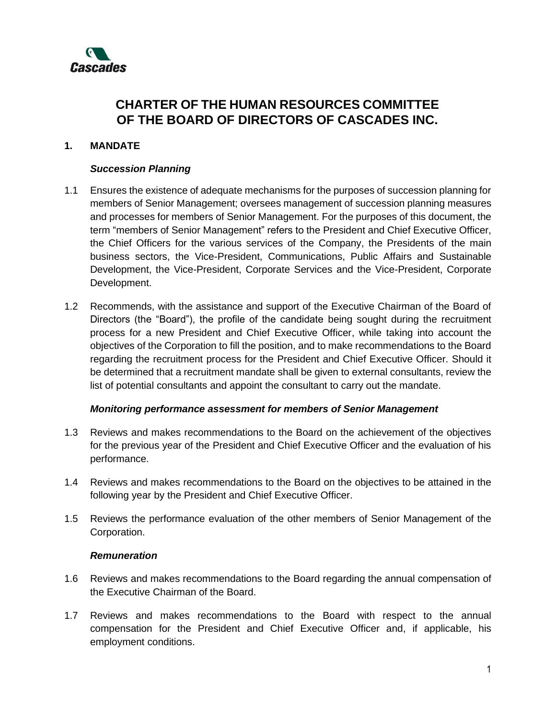

# **CHARTER OF THE HUMAN RESOURCES COMMITTEE OF THE BOARD OF DIRECTORS OF CASCADES INC.**

### **1. MANDATE**

#### *Succession Planning*

- 1.1 Ensures the existence of adequate mechanisms for the purposes of succession planning for members of Senior Management; oversees management of succession planning measures and processes for members of Senior Management. For the purposes of this document, the term "members of Senior Management" refers to the President and Chief Executive Officer, the Chief Officers for the various services of the Company, the Presidents of the main business sectors, the Vice-President, Communications, Public Affairs and Sustainable Development, the Vice-President, Corporate Services and the Vice-President, Corporate Development.
- 1.2 Recommends, with the assistance and support of the Executive Chairman of the Board of Directors (the "Board"), the profile of the candidate being sought during the recruitment process for a new President and Chief Executive Officer, while taking into account the objectives of the Corporation to fill the position, and to make recommendations to the Board regarding the recruitment process for the President and Chief Executive Officer. Should it be determined that a recruitment mandate shall be given to external consultants, review the list of potential consultants and appoint the consultant to carry out the mandate.

#### *Monitoring performance assessment for members of Senior Management*

- 1.3 Reviews and makes recommendations to the Board on the achievement of the objectives for the previous year of the President and Chief Executive Officer and the evaluation of his performance.
- 1.4 Reviews and makes recommendations to the Board on the objectives to be attained in the following year by the President and Chief Executive Officer.
- 1.5 Reviews the performance evaluation of the other members of Senior Management of the Corporation.

#### *Remuneration*

- 1.6 Reviews and makes recommendations to the Board regarding the annual compensation of the Executive Chairman of the Board.
- 1.7 Reviews and makes recommendations to the Board with respect to the annual compensation for the President and Chief Executive Officer and, if applicable, his employment conditions.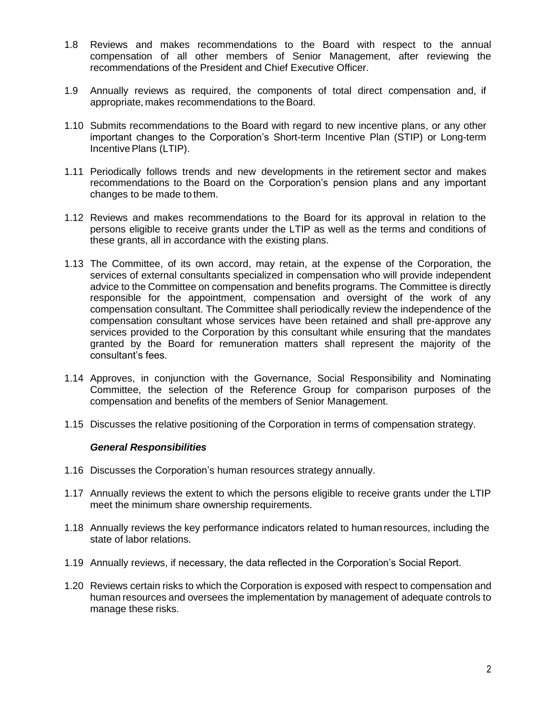- 1.8 Reviews and makes recommendations to the Board with respect to the annual compensation of all other members of Senior Management, after reviewing the recommendations of the President and Chief Executive Officer.
- 1.9 Annually reviews as required, the components of total direct compensation and, if appropriate, makes recommendations to the Board.
- 1.10 Submits recommendations to the Board with regard to new incentive plans, or any other important changes to the Corporation's Short-term Incentive Plan (STIP) or Long-term Incentive Plans (LTIP).
- 1.11 Periodically follows trends and new developments in the retirement sector and makes recommendations to the Board on the Corporation's pension plans and any important changes to be made to them.
- 1.12 Reviews and makes recommendations to the Board for its approval in relation to the persons eligible to receive grants under the LTIP as well as the terms and conditions of these grants, all in accordance with the existing plans.
- 1.13 The Committee, of its own accord, may retain, at the expense of the Corporation, the services of external consultants specialized in compensation who will provide independent advice to the Committee on compensation and benefits programs. The Committee is directly responsible for the appointment, compensation and oversight of the work of any compensation consultant. The Committee shall periodically review the independence of the compensation consultant whose services have been retained and shall pre-approve any services provided to the Corporation by this consultant while ensuring that the mandates granted by the Board for remuneration matters shall represent the majority of the consultant's fees.
- 1.14 Approves, in conjunction with the Governance, Social Responsibility and Nominating Committee, the selection of the Reference Group for comparison purposes of the compensation and benefits of the members of Senior Management.
- 1.15 Discusses the relative positioning of the Corporation in terms of compensation strategy.

#### *General Responsibilities*

- 1.16 Discusses the Corporation's human resources strategy annually.
- 1.17 Annually reviews the extent to which the persons eligible to receive grants under the LTIP meet the minimum share ownership requirements.
- 1.18 Annually reviews the key performance indicators related to human resources, including the state of labor relations.
- 1.19 Annually reviews, if necessary, the data reflected in the Corporation's Social Report.
- 1.20 Reviews certain risks to which the Corporation is exposed with respect to compensation and human resources and oversees the implementation by management of adequate controls to manage these risks.